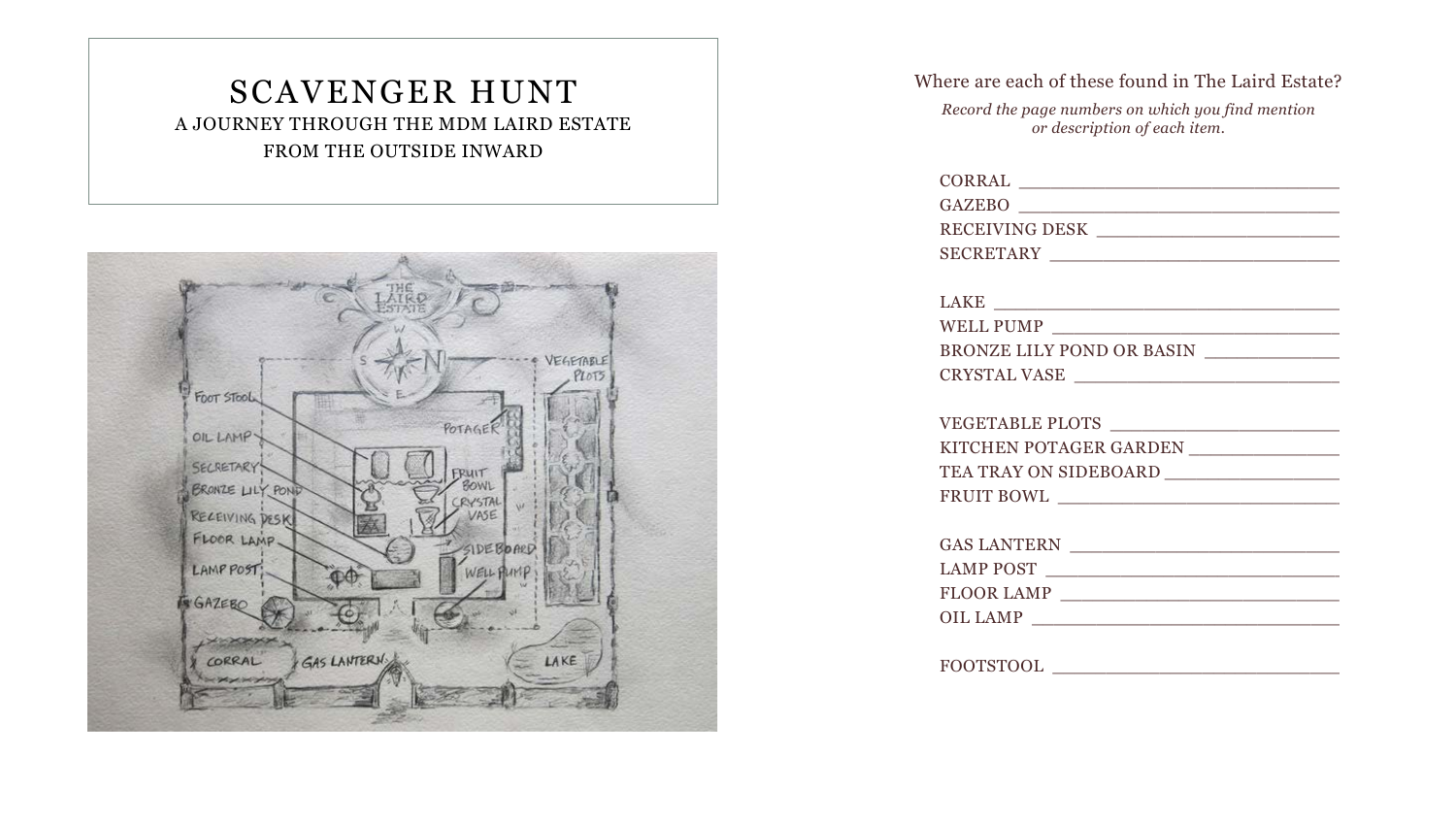| CORRAL                                  |  |
|-----------------------------------------|--|
| GAZEBO                                  |  |
| RECEIVING DESK                          |  |
|                                         |  |
|                                         |  |
|                                         |  |
| WELL PUMP                               |  |
| BRONZE LILY POND OR BASIN               |  |
| CRYSTAL VASE                            |  |
|                                         |  |
| VEGETABLE PLOTS                         |  |
| KITCHEN POTAGER GARDEN ________________ |  |
|                                         |  |
|                                         |  |
|                                         |  |
|                                         |  |
| LAMP POST                               |  |
| FLOOR LAMP                              |  |
| OIL LAMP                                |  |
|                                         |  |
|                                         |  |
|                                         |  |

Where are each of these found in The Laird Estate?

*Record the page numbers on which you find mention or description of each item.*

## SCAVENGER HUNT A JOURNEY THROUGH THE MDM LAIRD ESTATE FROM THE OUTSIDE INWARD

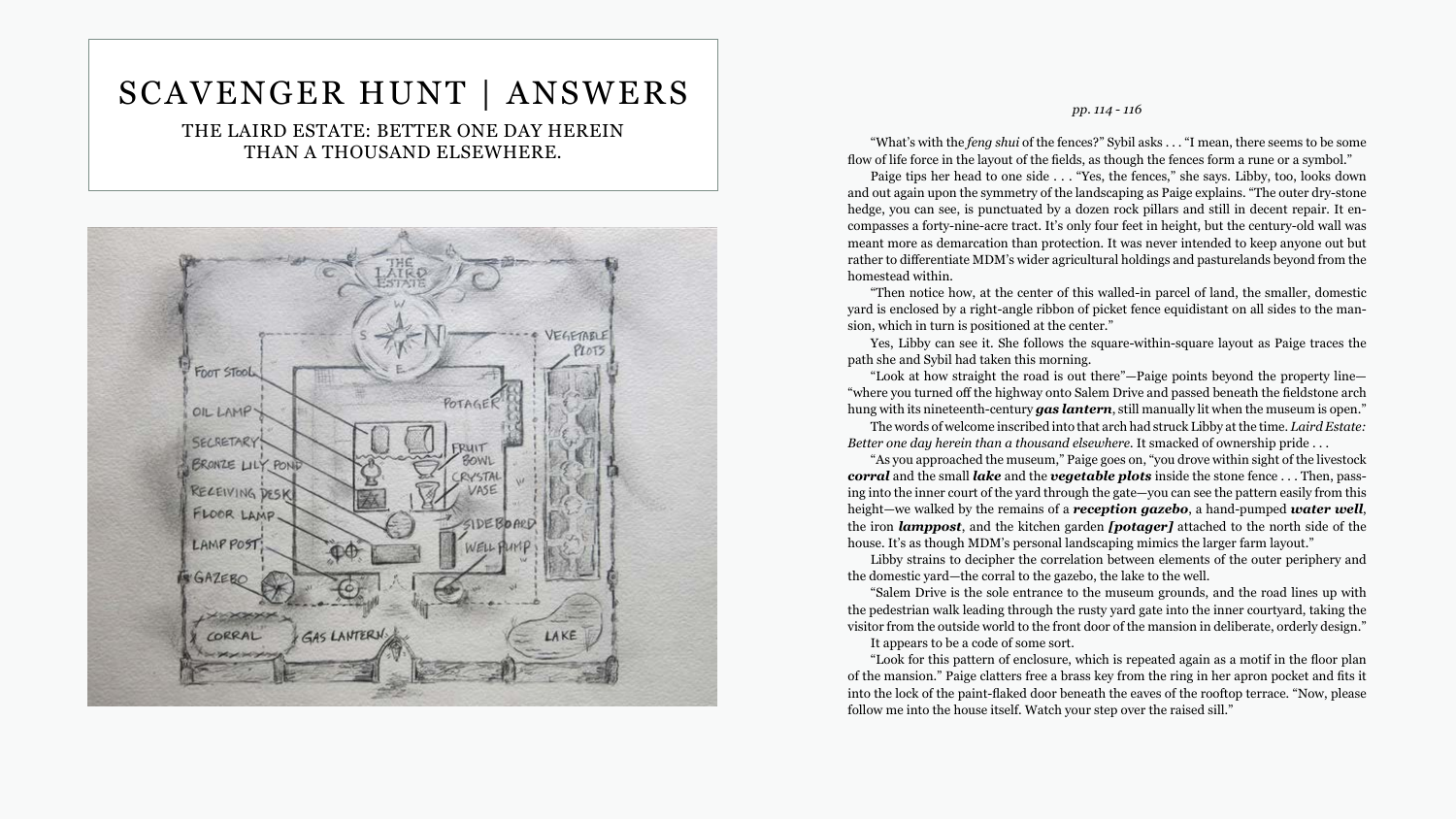## SCAVENGER HUNT | ANSWERS

THE LAIRD ESTATE: BETTER ONE DAY HEREIN THAN A THOUSAND ELSEWHERE.



#### pp. 114 - 116

"What's with the *feng shui* of the fences?" Sybil asks . . . "I mean, there seems to be some flow of life force in the layout of the fields, as though the fences form a rune or a symbol." Paige tips her head to one side . . . "Yes, the fences," she says. Libby, too, looks down and out again upon the symmetry of the landscaping as Paige explains. "The outer dry-stone hedge, you can see, is punctuated by a dozen rock pillars and still in decent repair. It encompasses a forty-nine-acre tract. It's only four feet in height, but the century-old wall was meant more as demarcation than protection. It was never intended to keep anyone out but rather to differentiate MDM's wider agricultural holdings and pasturelands beyond from the homestead within. "Then notice how, at the center of this walled-in parcel of land, the smaller, domestic yard is enclosed by a right-angle ribbon of picket fence equidistant on all sides to the mansion, which in turn is positioned at the center." Yes, Libby can see it. She follows the square-within-square layout as Paige traces the path she and Sybil had taken this morning. "Look at how straight the road is out there"-Paige points beyond the property line-"where you turned off the highway onto Salem Drive and passed beneath the fieldstone arch hung with its nineteenth-century gas lantern, still manually lit when the museum is open." The words of welcome inscribed into that arch had struck Libby at the time. Laird Estate: Better one day herein than a thousand elsewhere. It smacked of ownership pride ... "As you approached the museum," Paige goes on, "you drove within sight of the livestock **corral** and the small *lake* and the *vegetable plots* inside the stone fence ... Then, passing into the inner court of the yard through the gate-you can see the pattern easily from this height—we walked by the remains of a **reception gazebo**, a hand-pumped **water well**, the iron *lamppost*, and the kitchen garden *[potager]* attached to the north side of the house. It's as though MDM's personal landscaping mimics the larger farm layout." Libby strains to decipher the correlation between elements of the outer periphery and the domestic yard—the corral to the gazebo, the lake to the well. "Salem Drive is the sole entrance to the museum grounds, and the road lines up with the pedestrian walk leading through the rusty yard gate into the inner courtyard, taking the visitor from the outside world to the front door of the mansion in deliberate, orderly design." It appears to be a code of some sort. "Look for this pattern of enclosure, which is repeated again as a motif in the floor plan of the mansion." Paige clatters free a brass key from the ring in her apron pocket and fits it into the lock of the paint-flaked door beneath the eaves of the rooftop terrace. "Now, please follow me into the house itself. Watch your step over the raised sill."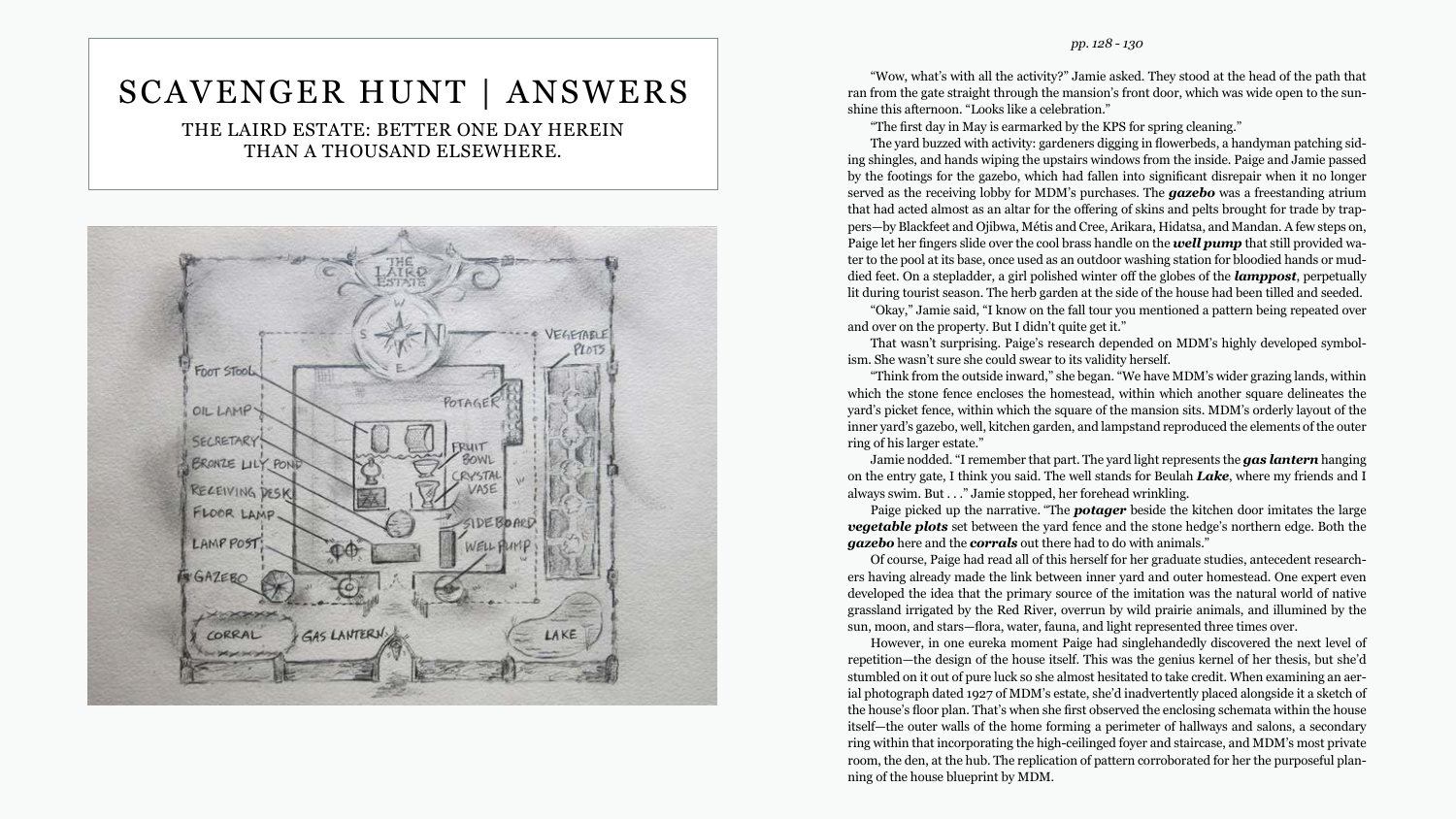# SCAVENGER HUNT | ANSWERS

THE LAIRD ESTATE: BETTER ONE DAY HEREIN THAN A THOUSAND ELSEWHERE.



#### pp. 128 - 130

"Wow, what's with all the activity?" Jamie asked. They stood at the head of the path that ran from the gate straight through the mansion's front door, which was wide open to the sunshine this afternoon. "Looks like a celebration."

"The first day in May is earmarked by the KPS for spring cleaning."

The yard buzzed with activity: gardeners digging in flowerbeds, a handyman patching siding shingles, and hands wiping the upstairs windows from the inside. Paige and Jamie passed by the footings for the gazebo, which had fallen into significant disrepair when it no longer served as the receiving lobby for MDM's purchases. The **gazebo** was a freestanding atrium that had acted almost as an altar for the offering of skins and pelts brought for trade by trappers-by Blackfeet and Ojibwa, Métis and Cree, Arikara, Hidatsa, and Mandan. A few steps on, Paige let her fingers slide over the cool brass handle on the **well pump** that still provided water to the pool at its base, once used as an outdoor washing station for bloodied hands or muddied feet. On a stepladder, a girl polished winter off the globes of the **lamppost**, perpetually lit during tourist season. The herb garden at the side of the house had been tilled and seeded.

"Okay," Jamie said, "I know on the fall tour you mentioned a pattern being repeated over and over on the property. But I didn't quite get it."

That wasn't surprising. Paige's research depended on MDM's highly developed symbolism. She wasn't sure she could swear to its validity herself.

"Think from the outside inward," she began. "We have MDM's wider grazing lands, within which the stone fence encloses the homestead, within which another square delineates the yard's picket fence, within which the square of the mansion sits. MDM's orderly layout of the inner yard's gazebo, well, kitchen garden, and lampstand reproduced the elements of the outer ring of his larger estate."

Jamie nodded. "I remember that part. The yard light represents the gas lantern hanging on the entry gate, I think you said. The well stands for Beulah Lake, where my friends and I always swim. But . . ." Jamie stopped, her forehead wrinkling.

Paige picked up the narrative. "The **potager** beside the kitchen door imitates the large **vegetable plots** set between the yard fence and the stone hedge's northern edge. Both the gazebo here and the corrals out there had to do with animals."

Of course, Paige had read all of this herself for her graduate studies, antecedent researchers having already made the link between inner yard and outer homestead. One expert even developed the idea that the primary source of the imitation was the natural world of native grassland irrigated by the Red River, overrun by wild prairie animals, and illumined by the sun, moon, and stars—flora, water, fauna, and light represented three times over.

However, in one eureka moment Paige had singlehandedly discovered the next level of repetition—the design of the house itself. This was the genius kernel of her thesis, but she'd stumbled on it out of pure luck so she almost hesitated to take credit. When examining an aerial photograph dated 1927 of MDM's estate, she'd inadvertently placed alongside it a sketch of the house's floor plan. That's when she first observed the enclosing schemata within the house itself-the outer walls of the home forming a perimeter of hallways and salons, a secondary ring within that incorporating the high-ceilinged foyer and staircase, and MDM's most private room, the den, at the hub. The replication of pattern corroborated for her the purposeful planning of the house blueprint by MDM.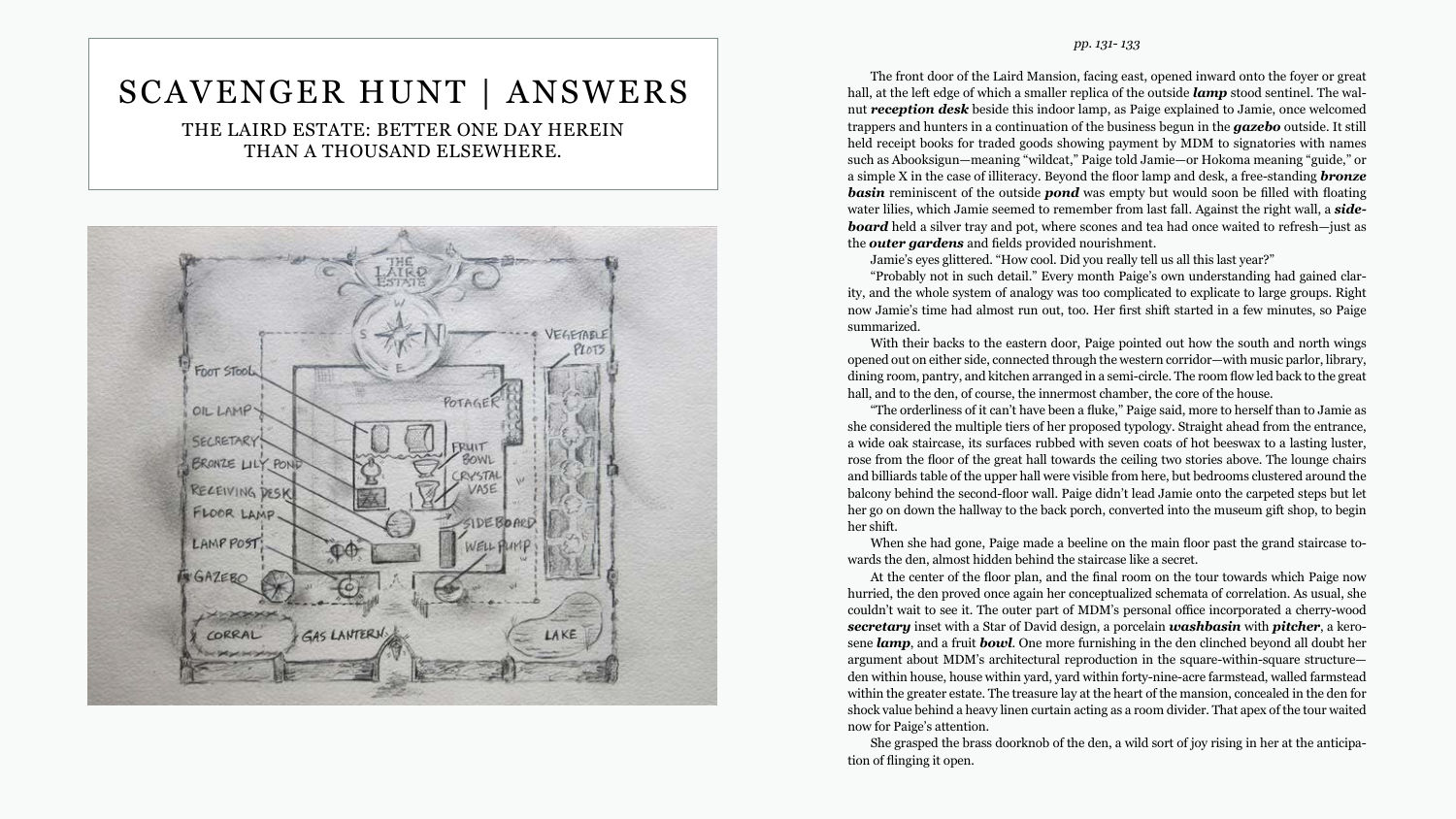#### *pp. 131- 133*

ity, and the whole system of analogy was too complicated to explicate to large groups. Right now Jamie's time had almost run out, too. Her first shift started in a few minutes, so Paige summarized.

hall, and to the den, of course, the innermost chamber, the core of the house.

The front door of the Laird Mansion, facing east, opened inward onto the foyer or great hall, at the left edge of which a smaller replica of the outside *lamp* stood sentinel. The walnut *reception desk* beside this indoor lamp, as Paige explained to Jamie, once welcomed trappers and hunters in a continuation of the business begun in the *gazebo* outside. It still held receipt books for traded goods showing payment by MDM to signatories with names such as Abooksigun—meaning "wildcat," Paige told Jamie—or Hokoma meaning "guide," or a simple X in the case of illiteracy. Beyond the floor lamp and desk, a free-standing *bronze*  **basin** reminiscent of the outside **pond** was empty but would soon be filled with floating water lilies, which Jamie seemed to remember from last fall. Against the right wall, a *side***board** held a silver tray and pot, where scones and tea had once waited to refresh—just as the *outer gardens* and fields provided nourishment. Jamie's eyes glittered. "How cool. Did you really tell us all this last year?" "Probably not in such detail." Every month Paige's own understanding had gained clar-With their backs to the eastern door, Paige pointed out how the south and north wings opened out on either side, connected through the western corridor—with music parlor, library, dining room, pantry, and kitchen arranged in a semi-circle. The room flow led back to the great "The orderliness of it can't have been a fluke," Paige said, more to herself than to Jamie as she considered the multiple tiers of her proposed typology. Straight ahead from the entrance, a wide oak staircase, its surfaces rubbed with seven coats of hot beeswax to a lasting luster, rose from the floor of the great hall towards the ceiling two stories above. The lounge chairs and billiards table of the upper hall were visible from here, but bedrooms clustered around the balcony behind the second-floor wall. Paige didn't lead Jamie onto the carpeted steps but let her go on down the hallway to the back porch, converted into the museum gift shop, to begin When she had gone, Paige made a beeline on the main floor past the grand staircase to-At the center of the floor plan, and the final room on the tour towards which Paige now hurried, the den proved once again her conceptualized schemata of correlation. As usual, she couldn't wait to see it. The outer part of MDM's personal office incorporated a cherry-wood *secretary* inset with a Star of David design, a porcelain *washbasin* with *pitcher*, a kerosene *lamp*, and a fruit *bowl*. One more furnishing in the den clinched beyond all doubt her argument about MDM's architectural reproduction in the square-within-square structure den within house, house within yard, yard within forty-nine-acre farmstead, walled farmstead within the greater estate. The treasure lay at the heart of the mansion, concealed in the den for shock value behind a heavy linen curtain acting as a room divider. That apex of the tour waited

her shift.

wards the den, almost hidden behind the staircase like a secret.

now for Paige's attention.

She grasped the brass doorknob of the den, a wild sort of joy rising in her at the anticipation of flinging it open.

# SCAVENGER HUNT | ANSWERS

THE LAIRD ESTATE: BETTER ONE DAY HEREIN THAN A THOUSAND ELSEWHERE.